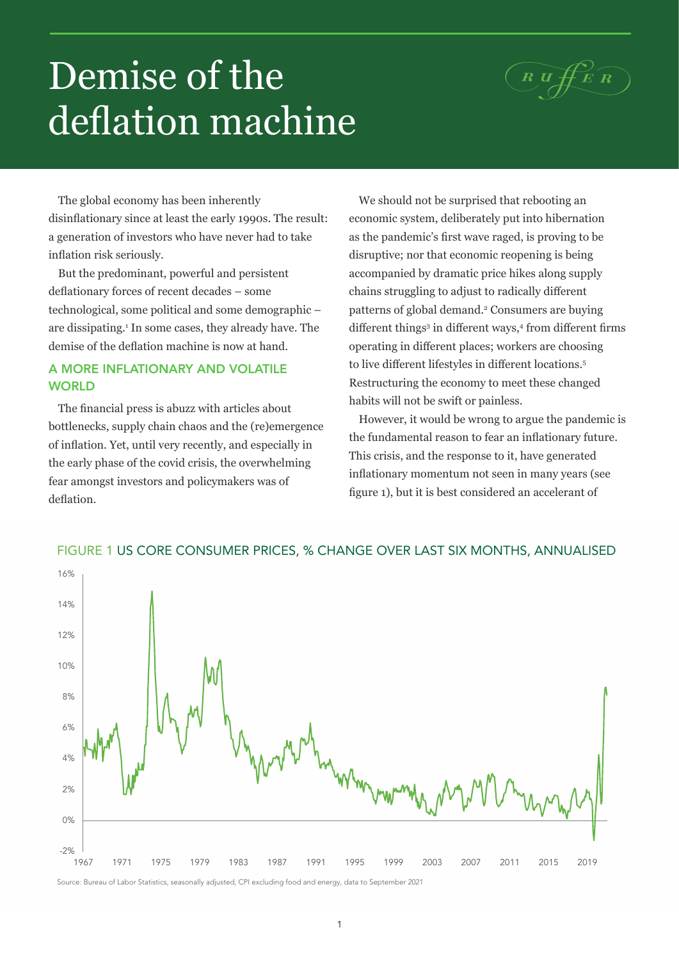## $(R\,\widehat{u\,\#E\,R})$

# Demise of the deflation machine

The global economy has been inherently disinflationary since at least the early 1990s. The result: a generation of investors who have never had to take inflation risk seriously.

But the predominant, powerful and persistent deflationary forces of recent decades – some technological, some political and some demographic – are dissipating.1 In some cases, they already have. The demise of the deflation machine is now at hand.

## A MORE INFLATIONARY AND VOLATILE **WORLD**

The financial press is abuzz with articles about bottlenecks, supply chain chaos and the (re)emergence of inflation. Yet, until very recently, and especially in the early phase of the covid crisis, the overwhelming fear amongst investors and policymakers was of deflation.

We should not be surprised that rebooting an economic system, deliberately put into hibernation as the pandemic's first wave raged, is proving to be disruptive; nor that economic reopening is being accompanied by dramatic price hikes along supply chains struggling to adjust to radically different patterns of global demand.<sup>2</sup> Consumers are buying different things<sup>3</sup> in different ways,<sup>4</sup> from different firms operating in different places; workers are choosing to live different lifestyles in different locations.<sup>5</sup> Restructuring the economy to meet these changed habits will not be swift or painless.

However, it would be wrong to argue the pandemic is the fundamental reason to fear an inflationary future. This crisis, and the response to it, have generated inflationary momentum not seen in many years (see figure 1), but it is best considered an accelerant of



## FIGURE 1 US CORE CONSUMER PRICES, % CHANGE OVER LAST SIX MONTHS, ANNUALISED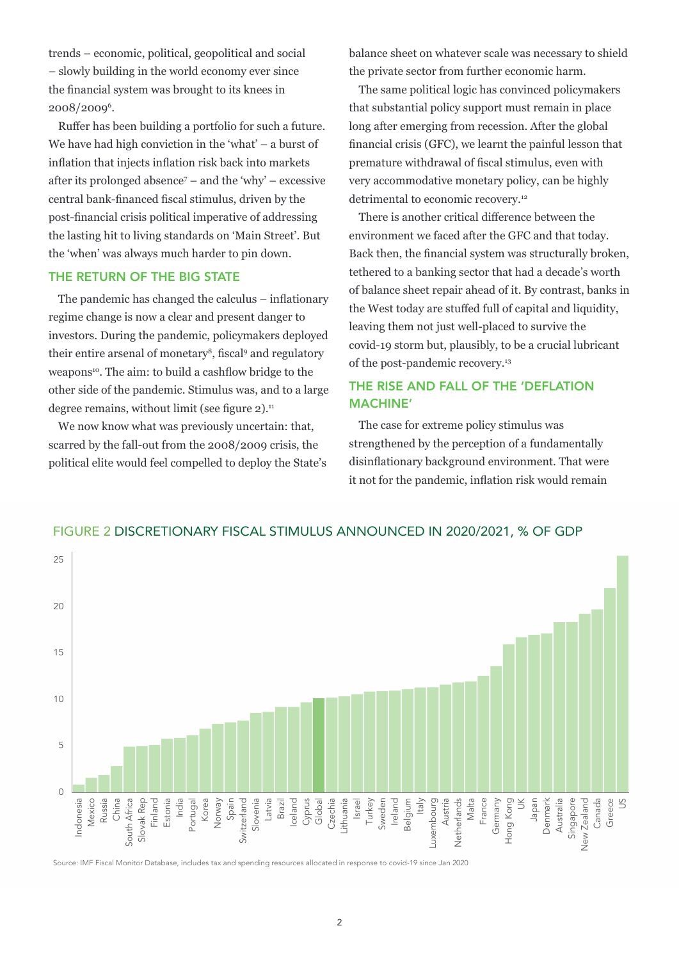trends – economic, political, geopolitical and social – slowly building in the world economy ever since the financial system was brought to its knees in 2008/2009<sup>6</sup>.

Ruffer has been building a portfolio for such a future. We have had high conviction in the 'what' – a burst of inflation that injects inflation risk back into markets after its prolonged absence<sup>7</sup> – and the 'why' – excessive central bank-financed fiscal stimulus, driven by the post-financial crisis political imperative of addressing the lasting hit to living standards on 'Main Street'. But the 'when' was always much harder to pin down.

### THE RETURN OF THE BIG STATE

The pandemic has changed the calculus – inflationary regime change is now a clear and present danger to investors. During the pandemic, policymakers deployed their entire arsenal of monetary<sup>8</sup>, fiscal<sup>9</sup> and regulatory weapons<sup>10</sup>. The aim: to build a cashflow bridge to the other side of the pandemic. Stimulus was, and to a large degree remains, without limit (see figure  $2$ ).<sup>11</sup>

We now know what was previously uncertain: that, scarred by the fall-out from the 2008/2009 crisis, the political elite would feel compelled to deploy the State's balance sheet on whatever scale was necessary to shield the private sector from further economic harm.

The same political logic has convinced policymakers that substantial policy support must remain in place long after emerging from recession. After the global financial crisis (GFC), we learnt the painful lesson that premature withdrawal of fiscal stimulus, even with very accommodative monetary policy, can be highly detrimental to economic recovery.<sup>12</sup>

There is another critical difference between the environment we faced after the GFC and that today. Back then, the financial system was structurally broken, tethered to a banking sector that had a decade's worth of balance sheet repair ahead of it. By contrast, banks in the West today are stuffed full of capital and liquidity, leaving them not just well-placed to survive the covid-19 storm but, plausibly, to be a crucial lubricant of the post-pandemic recovery.<sup>13</sup>

## THE RISE AND FALL OF THE 'DEFLATION MACHINE'

The case for extreme policy stimulus was strengthened by the perception of a fundamentally disinflationary background environment. That were it not for the pandemic, inflation risk would remain



#### FIGURE 2 DISCRETIONARY FISCAL STIMULUS ANNOUNCED IN 2020/2021, % OF GDP

Source: IMF Fiscal Monitor Database, includes tax and spending resources allocated in response to covid-19 since Jan 2020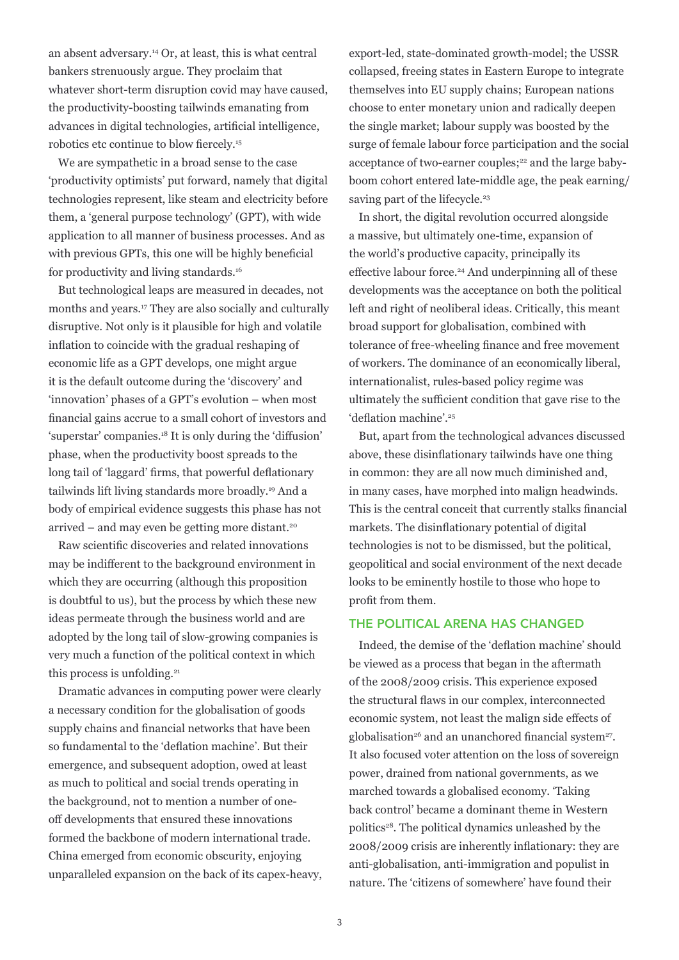an absent adversary.14 Or, at least, this is what central bankers strenuously argue. They proclaim that whatever short-term disruption covid may have caused, the productivity-boosting tailwinds emanating from advances in digital technologies, artificial intelligence, robotics etc continue to blow fiercely.15

We are sympathetic in a broad sense to the case 'productivity optimists' put forward, namely that digital technologies represent, like steam and electricity before them, a 'general purpose technology' (GPT), with wide application to all manner of business processes. And as with previous GPTs, this one will be highly beneficial for productivity and living standards.16

But technological leaps are measured in decades, not months and years.17 They are also socially and culturally disruptive. Not only is it plausible for high and volatile inflation to coincide with the gradual reshaping of economic life as a GPT develops, one might argue it is the default outcome during the 'discovery' and 'innovation' phases of a GPT's evolution – when most financial gains accrue to a small cohort of investors and 'superstar' companies.18 It is only during the 'diffusion' phase, when the productivity boost spreads to the long tail of 'laggard' firms, that powerful deflationary tailwinds lift living standards more broadly.19 And a body of empirical evidence suggests this phase has not arrived – and may even be getting more distant.20

Raw scientific discoveries and related innovations may be indifferent to the background environment in which they are occurring (although this proposition is doubtful to us), but the process by which these new ideas permeate through the business world and are adopted by the long tail of slow-growing companies is very much a function of the political context in which this process is unfolding.<sup>21</sup>

Dramatic advances in computing power were clearly a necessary condition for the globalisation of goods supply chains and financial networks that have been so fundamental to the 'deflation machine'. But their emergence, and subsequent adoption, owed at least as much to political and social trends operating in the background, not to mention a number of oneoff developments that ensured these innovations formed the backbone of modern international trade. China emerged from economic obscurity, enjoying unparalleled expansion on the back of its capex-heavy, export-led, state-dominated growth-model; the USSR collapsed, freeing states in Eastern Europe to integrate themselves into EU supply chains; European nations choose to enter monetary union and radically deepen the single market; labour supply was boosted by the surge of female labour force participation and the social acceptance of two-earner couples;<sup>22</sup> and the large babyboom cohort entered late-middle age, the peak earning/ saving part of the lifecycle.<sup>23</sup>

In short, the digital revolution occurred alongside a massive, but ultimately one-time, expansion of the world's productive capacity, principally its effective labour force.<sup>24</sup> And underpinning all of these developments was the acceptance on both the political left and right of neoliberal ideas. Critically, this meant broad support for globalisation, combined with tolerance of free-wheeling finance and free movement of workers. The dominance of an economically liberal, internationalist, rules-based policy regime was ultimately the sufficient condition that gave rise to the 'deflation machine'.<sup>25</sup>

But, apart from the technological advances discussed above, these disinflationary tailwinds have one thing in common: they are all now much diminished and, in many cases, have morphed into malign headwinds. This is the central conceit that currently stalks financial markets. The disinflationary potential of digital technologies is not to be dismissed, but the political, geopolitical and social environment of the next decade looks to be eminently hostile to those who hope to profit from them.

#### THE POLITICAL ARENA HAS CHANGED

Indeed, the demise of the 'deflation machine' should be viewed as a process that began in the aftermath of the 2008/2009 crisis. This experience exposed the structural flaws in our complex, interconnected economic system, not least the malign side effects of globalisation<sup>26</sup> and an unanchored financial system<sup>27</sup>. It also focused voter attention on the loss of sovereign power, drained from national governments, as we marched towards a globalised economy. 'Taking back control' became a dominant theme in Western politics28. The political dynamics unleashed by the 2008/2009 crisis are inherently inflationary: they are anti-globalisation, anti-immigration and populist in nature. The 'citizens of somewhere' have found their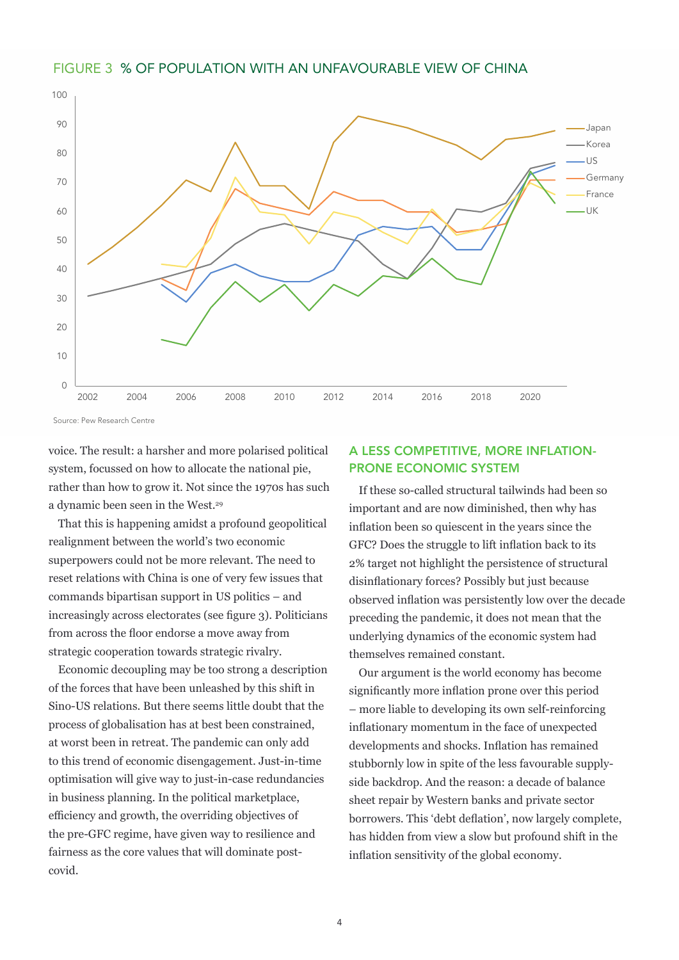



Source: Pew Research Centre

voice. The result: a harsher and more polarised political system, focussed on how to allocate the national pie, rather than how to grow it. Not since the 1970s has such a dynamic been seen in the West.29

That this is happening amidst a profound geopolitical realignment between the world's two economic superpowers could not be more relevant. The need to reset relations with China is one of very few issues that commands bipartisan support in US politics – and increasingly across electorates (see figure 3). Politicians from across the floor endorse a move away from strategic cooperation towards strategic rivalry.

Economic decoupling may be too strong a description of the forces that have been unleashed by this shift in Sino-US relations. But there seems little doubt that the process of globalisation has at best been constrained, at worst been in retreat. The pandemic can only add to this trend of economic disengagement. Just-in-time optimisation will give way to just-in-case redundancies in business planning. In the political marketplace, efficiency and growth, the overriding objectives of the pre-GFC regime, have given way to resilience and fairness as the core values that will dominate postcovid.

#### A LESS COMPETITIVE, MORE INFLATION-PRONE ECONOMIC SYSTEM

If these so-called structural tailwinds had been so important and are now diminished, then why has inflation been so quiescent in the years since the GFC? Does the struggle to lift inflation back to its 2% target not highlight the persistence of structural disinflationary forces? Possibly but just because observed inflation was persistently low over the decade preceding the pandemic, it does not mean that the underlying dynamics of the economic system had themselves remained constant.

Our argument is the world economy has become significantly more inflation prone over this period – more liable to developing its own self-reinforcing inflationary momentum in the face of unexpected developments and shocks. Inflation has remained stubbornly low in spite of the less favourable supplyside backdrop. And the reason: a decade of balance sheet repair by Western banks and private sector borrowers. This 'debt deflation', now largely complete, has hidden from view a slow but profound shift in the inflation sensitivity of the global economy.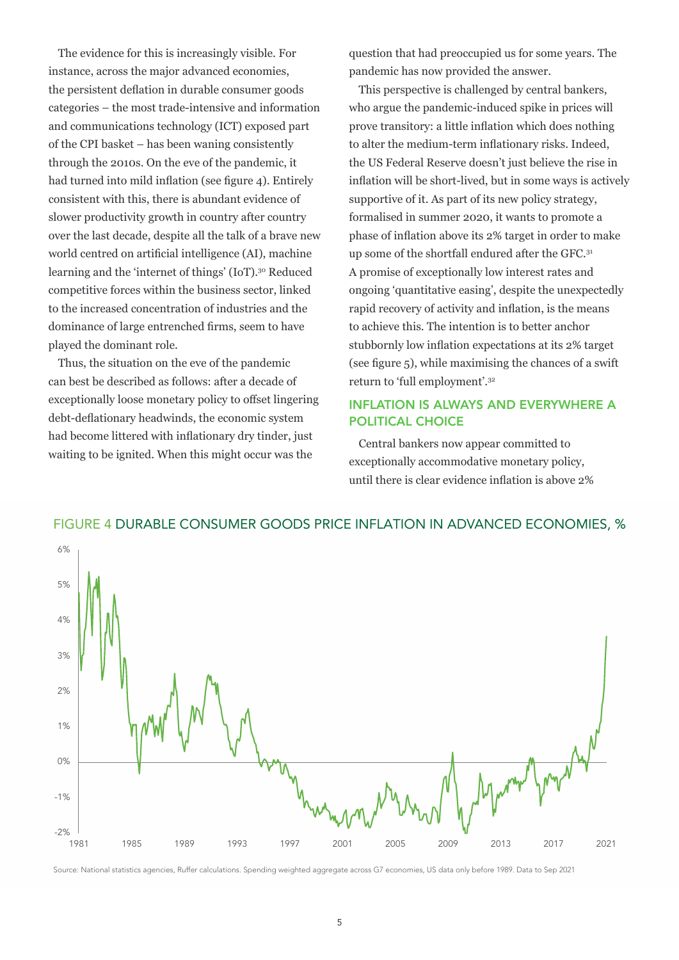The evidence for this is increasingly visible. For instance, across the major advanced economies, the persistent deflation in durable consumer goods categories – the most trade-intensive and information and communications technology (ICT) exposed part of the CPI basket – has been waning consistently through the 2010s. On the eve of the pandemic, it had turned into mild inflation (see figure 4). Entirely consistent with this, there is abundant evidence of slower productivity growth in country after country over the last decade, despite all the talk of a brave new world centred on artificial intelligence (AI), machine learning and the 'internet of things' (IoT).30 Reduced competitive forces within the business sector, linked to the increased concentration of industries and the dominance of large entrenched firms, seem to have played the dominant role.

Thus, the situation on the eve of the pandemic can best be described as follows: after a decade of exceptionally loose monetary policy to offset lingering debt-deflationary headwinds, the economic system had become littered with inflationary dry tinder, just waiting to be ignited. When this might occur was the

question that had preoccupied us for some years. The pandemic has now provided the answer.

This perspective is challenged by central bankers, who argue the pandemic-induced spike in prices will prove transitory: a little inflation which does nothing to alter the medium-term inflationary risks. Indeed, the US Federal Reserve doesn't just believe the rise in inflation will be short-lived, but in some ways is actively supportive of it. As part of its new policy strategy, formalised in summer 2020, it wants to promote a phase of inflation above its 2% target in order to make up some of the shortfall endured after the GFC.31 A promise of exceptionally low interest rates and ongoing 'quantitative easing', despite the unexpectedly rapid recovery of activity and inflation, is the means to achieve this. The intention is to better anchor stubbornly low inflation expectations at its 2% target (see figure 5), while maximising the chances of a swift return to 'full employment'.<sup>32</sup>

## INFLATION IS ALWAYS AND EVERYWHERE A POLITICAL CHOICE

Central bankers now appear committed to exceptionally accommodative monetary policy, until there is clear evidence inflation is above 2%



#### FIGURE 4 DURABLE CONSUMER GOODS PRICE INFLATION IN ADVANCED ECONOMIES, %

Source: National statistics agencies, Ruffer calculations. Spending weighted aggregate across G7 economies, US data only before 1989. Data to Sep 2021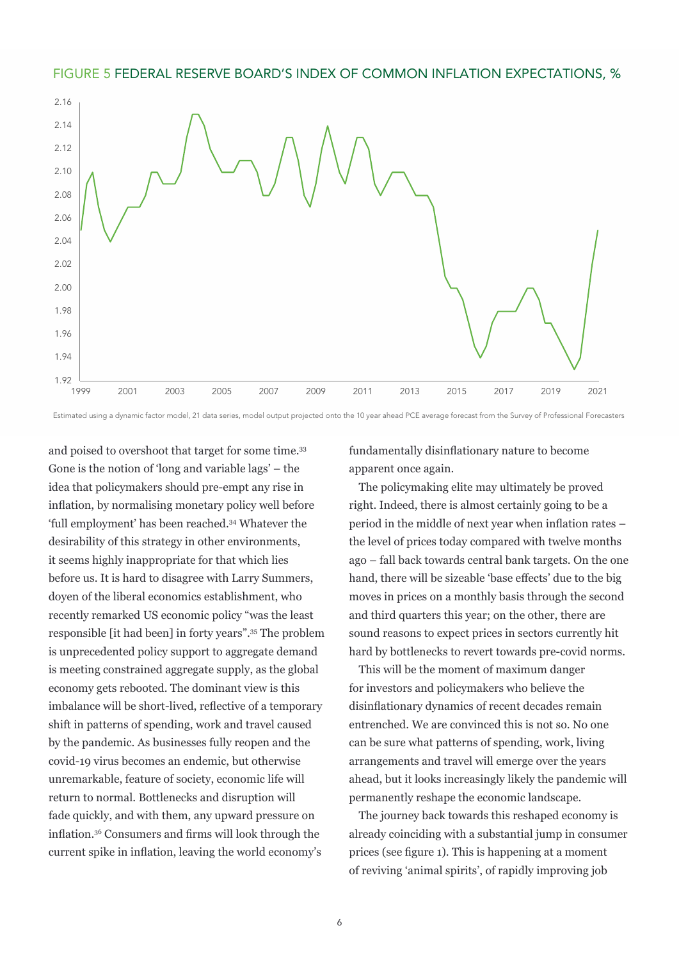#### FIGURE 5 FEDERAL RESERVE BOARD'S INDEX OF COMMON INFLATION EXPECTATIONS, %



Estimated using a dynamic factor model, 21 data series, model output projected onto the 10 year ahead PCE average forecast from the Survey of Professional Forecasters

and poised to overshoot that target for some time.<sup>33</sup> Gone is the notion of 'long and variable lags' – the idea that policymakers should pre-empt any rise in inflation, by normalising monetary policy well before 'full employment' has been reached.34 Whatever the desirability of this strategy in other environments, it seems highly inappropriate for that which lies before us. It is hard to disagree with Larry Summers, doyen of the liberal economics establishment, who recently remarked US economic policy "was the least responsible [it had been] in forty years".<sup>35</sup> The problem is unprecedented policy support to aggregate demand is meeting constrained aggregate supply, as the global economy gets rebooted. The dominant view is this imbalance will be short-lived, reflective of a temporary shift in patterns of spending, work and travel caused by the pandemic. As businesses fully reopen and the covid-19 virus becomes an endemic, but otherwise unremarkable, feature of society, economic life will return to normal. Bottlenecks and disruption will fade quickly, and with them, any upward pressure on inflation.<sup>36</sup> Consumers and firms will look through the current spike in inflation, leaving the world economy's

fundamentally disinflationary nature to become apparent once again.

The policymaking elite may ultimately be proved right. Indeed, there is almost certainly going to be a period in the middle of next year when inflation rates – the level of prices today compared with twelve months ago – fall back towards central bank targets. On the one hand, there will be sizeable 'base effects' due to the big moves in prices on a monthly basis through the second and third quarters this year; on the other, there are sound reasons to expect prices in sectors currently hit hard by bottlenecks to revert towards pre-covid norms.

This will be the moment of maximum danger for investors and policymakers who believe the disinflationary dynamics of recent decades remain entrenched. We are convinced this is not so. No one can be sure what patterns of spending, work, living arrangements and travel will emerge over the years ahead, but it looks increasingly likely the pandemic will permanently reshape the economic landscape.

The journey back towards this reshaped economy is already coinciding with a substantial jump in consumer prices (see figure 1). This is happening at a moment of reviving 'animal spirits', of rapidly improving job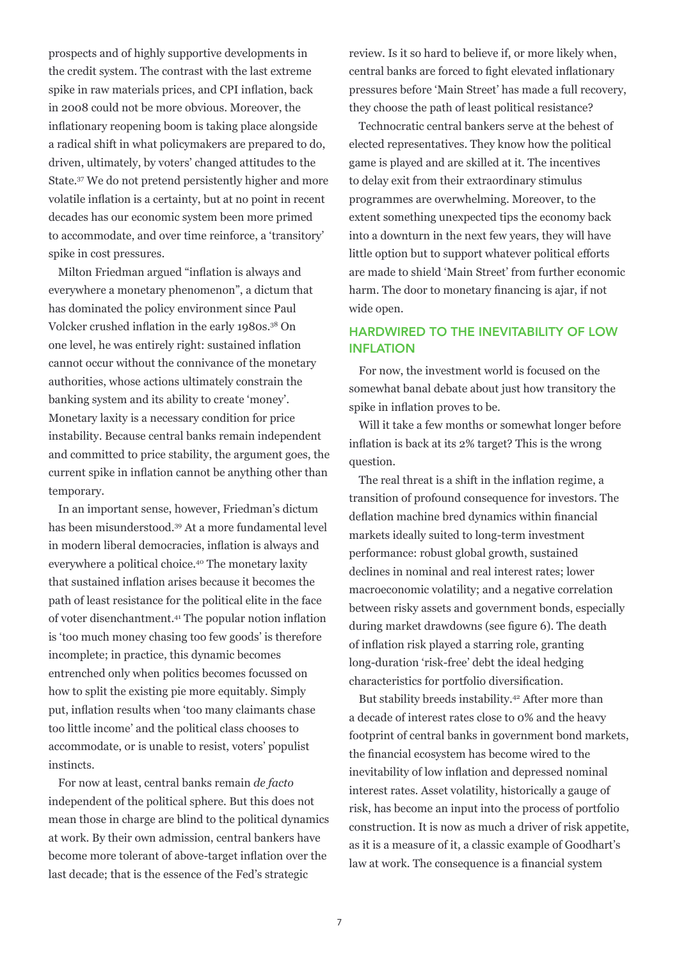prospects and of highly supportive developments in the credit system. The contrast with the last extreme spike in raw materials prices, and CPI inflation, back in 2008 could not be more obvious. Moreover, the inflationary reopening boom is taking place alongside a radical shift in what policymakers are prepared to do, driven, ultimately, by voters' changed attitudes to the State.<sup>37</sup> We do not pretend persistently higher and more volatile inflation is a certainty, but at no point in recent decades has our economic system been more primed to accommodate, and over time reinforce, a 'transitory' spike in cost pressures.

Milton Friedman argued "inflation is always and everywhere a monetary phenomenon", a dictum that has dominated the policy environment since Paul Volcker crushed inflation in the early 1980s.38 On one level, he was entirely right: sustained inflation cannot occur without the connivance of the monetary authorities, whose actions ultimately constrain the banking system and its ability to create 'money'. Monetary laxity is a necessary condition for price instability. Because central banks remain independent and committed to price stability, the argument goes, the current spike in inflation cannot be anything other than temporary.

In an important sense, however, Friedman's dictum has been misunderstood.39 At a more fundamental level in modern liberal democracies, inflation is always and everywhere a political choice.40 The monetary laxity that sustained inflation arises because it becomes the path of least resistance for the political elite in the face of voter disenchantment.41 The popular notion inflation is 'too much money chasing too few goods' is therefore incomplete; in practice, this dynamic becomes entrenched only when politics becomes focussed on how to split the existing pie more equitably. Simply put, inflation results when 'too many claimants chase too little income' and the political class chooses to accommodate, or is unable to resist, voters' populist instincts.

For now at least, central banks remain *de facto* independent of the political sphere. But this does not mean those in charge are blind to the political dynamics at work. By their own admission, central bankers have become more tolerant of above-target inflation over the last decade; that is the essence of the Fed's strategic

review. Is it so hard to believe if, or more likely when, central banks are forced to fight elevated inflationary pressures before 'Main Street' has made a full recovery, they choose the path of least political resistance?

Technocratic central bankers serve at the behest of elected representatives. They know how the political game is played and are skilled at it. The incentives to delay exit from their extraordinary stimulus programmes are overwhelming. Moreover, to the extent something unexpected tips the economy back into a downturn in the next few years, they will have little option but to support whatever political efforts are made to shield 'Main Street' from further economic harm. The door to monetary financing is ajar, if not wide open.

## HARDWIRED TO THE INEVITABILITY OF LOW INFLATION

For now, the investment world is focused on the somewhat banal debate about just how transitory the spike in inflation proves to be.

Will it take a few months or somewhat longer before inflation is back at its 2% target? This is the wrong question.

The real threat is a shift in the inflation regime, a transition of profound consequence for investors. The deflation machine bred dynamics within financial markets ideally suited to long-term investment performance: robust global growth, sustained declines in nominal and real interest rates; lower macroeconomic volatility; and a negative correlation between risky assets and government bonds, especially during market drawdowns (see figure 6). The death of inflation risk played a starring role, granting long-duration 'risk-free' debt the ideal hedging characteristics for portfolio diversification.

But stability breeds instability.<sup>42</sup> After more than a decade of interest rates close to 0% and the heavy footprint of central banks in government bond markets, the financial ecosystem has become wired to the inevitability of low inflation and depressed nominal interest rates. Asset volatility, historically a gauge of risk, has become an input into the process of portfolio construction. It is now as much a driver of risk appetite, as it is a measure of it, a classic example of Goodhart's law at work. The consequence is a financial system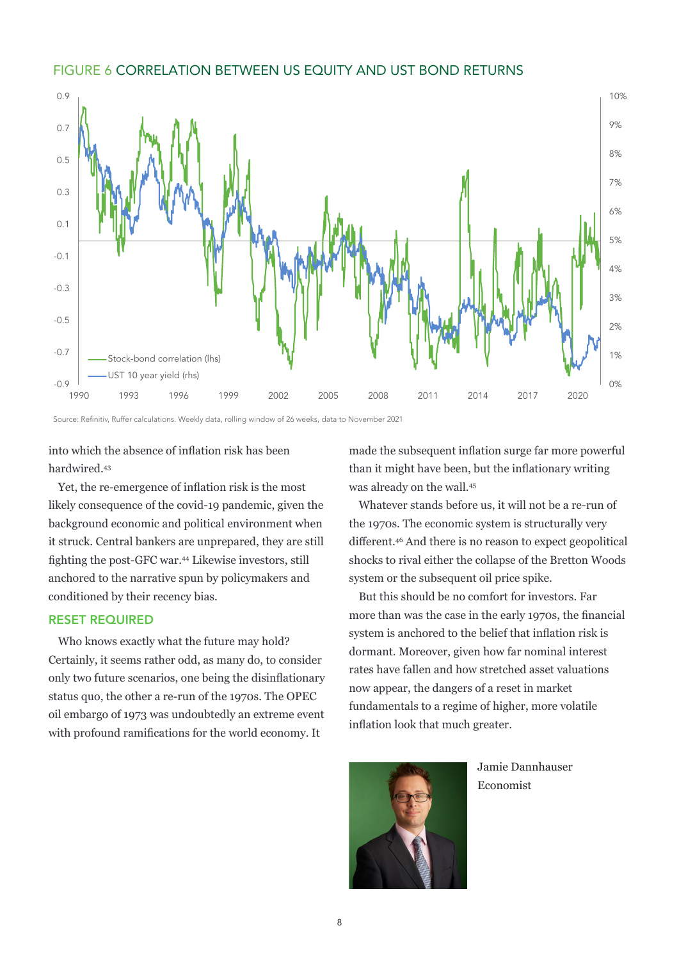#### FIGURE 6 CORRELATION BETWEEN US EQUITY AND UST BOND RETURNS



Source: Refinitiv, Ruffer calculations. Weekly data, rolling window of 26 weeks, data to November 2021

into which the absence of inflation risk has been hardwired.<sup>43</sup>

Yet, the re-emergence of inflation risk is the most likely consequence of the covid-19 pandemic, given the background economic and political environment when it struck. Central bankers are unprepared, they are still fighting the post-GFC war.<sup>44</sup> Likewise investors, still anchored to the narrative spun by policymakers and conditioned by their recency bias.

### RESET REQUIRED

Who knows exactly what the future may hold? Certainly, it seems rather odd, as many do, to consider only two future scenarios, one being the disinflationary status quo, the other a re-run of the 1970s. The OPEC oil embargo of 1973 was undoubtedly an extreme event with profound ramifications for the world economy. It

made the subsequent inflation surge far more powerful than it might have been, but the inflationary writing was already on the wall.<sup>45</sup>

Whatever stands before us, it will not be a re-run of the 1970s. The economic system is structurally very different.<sup>46</sup> And there is no reason to expect geopolitical shocks to rival either the collapse of the Bretton Woods system or the subsequent oil price spike.

But this should be no comfort for investors. Far more than was the case in the early 1970s, the financial system is anchored to the belief that inflation risk is dormant. Moreover, given how far nominal interest rates have fallen and how stretched asset valuations now appear, the dangers of a reset in market fundamentals to a regime of higher, more volatile inflation look that much greater.



Jamie Dannhauser Economist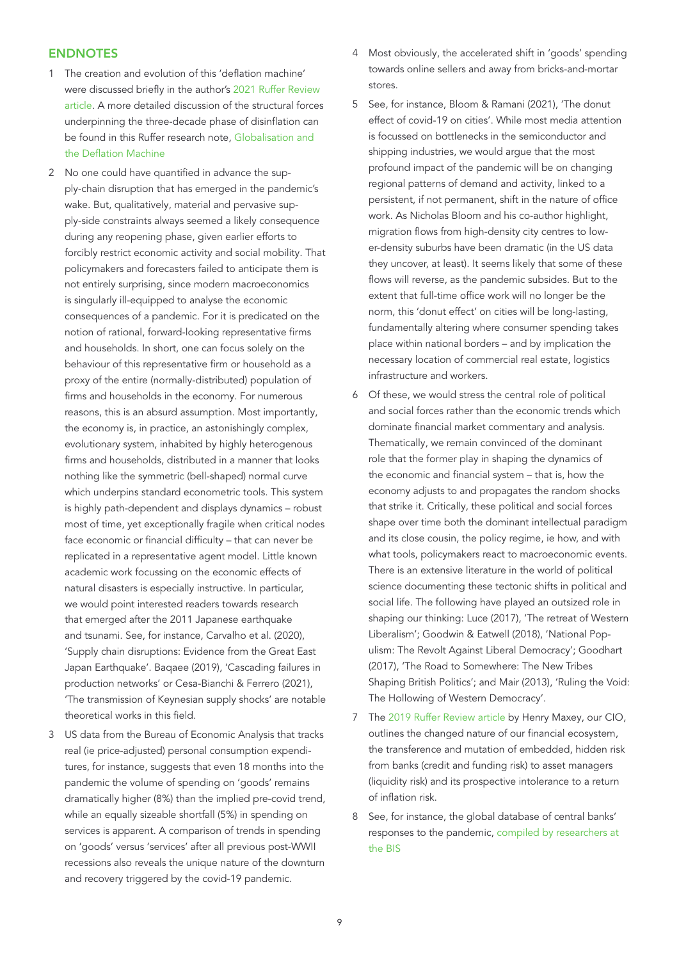#### ENDNOTES

- 1 The creation and evolution of this 'deflation machine' were discussed briefly in the author's [2021 Ruffer Review](https://www.ruffer.co.uk/-/media/ruffer-website/files/ruffer-review/2021/ruffer-review-2021.pdf)  [article.](https://www.ruffer.co.uk/-/media/ruffer-website/files/ruffer-review/2021/ruffer-review-2021.pdf) A more detailed discussion of the structural forces underpinning the three-decade phase of disinflation can be found in this Ruffer research note[, Globalisation and](https://www.ruffer.co.uk/-/media/ruffer-website/files/articles/2020-12-Globlisation-and-deflation-machine.pdf)  [the Deflation Machine](https://www.ruffer.co.uk/-/media/ruffer-website/files/articles/2020-12-Globlisation-and-deflation-machine.pdf)
- 2 No one could have quantified in advance the supply-chain disruption that has emerged in the pandemic's wake. But, qualitatively, material and pervasive supply-side constraints always seemed a likely consequence during any reopening phase, given earlier efforts to forcibly restrict economic activity and social mobility. That policymakers and forecasters failed to anticipate them is not entirely surprising, since modern macroeconomics is singularly ill-equipped to analyse the economic consequences of a pandemic. For it is predicated on the notion of rational, forward-looking representative firms and households. In short, one can focus solely on the behaviour of this representative firm or household as a proxy of the entire (normally-distributed) population of firms and households in the economy. For numerous reasons, this is an absurd assumption. Most importantly, the economy is, in practice, an astonishingly complex, evolutionary system, inhabited by highly heterogenous firms and households, distributed in a manner that looks nothing like the symmetric (bell-shaped) normal curve which underpins standard econometric tools. This system is highly path-dependent and displays dynamics – robust most of time, yet exceptionally fragile when critical nodes face economic or financial difficulty – that can never be replicated in a representative agent model. Little known academic work focussing on the economic effects of natural disasters is especially instructive. In particular, we would point interested readers towards research that emerged after the 2011 Japanese earthquake and tsunami. See, for instance, Carvalho et al. (2020), 'Supply chain disruptions: Evidence from the Great East Japan Earthquake'. Baqaee (2019), 'Cascading failures in production networks' or Cesa-Bianchi & Ferrero (2021), 'The transmission of Keynesian supply shocks' are notable theoretical works in this field.
- 3 US data from the Bureau of Economic Analysis that tracks real (ie price-adjusted) personal consumption expenditures, for instance, suggests that even 18 months into the pandemic the volume of spending on 'goods' remains dramatically higher (8%) than the implied pre-covid trend, while an equally sizeable shortfall (5%) in spending on services is apparent. A comparison of trends in spending on 'goods' versus 'services' after all previous post-WWII recessions also reveals the unique nature of the downturn and recovery triggered by the covid-19 pandemic.
- 4 Most obviously, the accelerated shift in 'goods' spending towards online sellers and away from bricks-and-mortar stores.
- 5 See, for instance, Bloom & Ramani (2021), 'The donut effect of covid-19 on cities'. While most media attention is focussed on bottlenecks in the semiconductor and shipping industries, we would argue that the most profound impact of the pandemic will be on changing regional patterns of demand and activity, linked to a persistent, if not permanent, shift in the nature of office work. As Nicholas Bloom and his co-author highlight, migration flows from high-density city centres to lower-density suburbs have been dramatic (in the US data they uncover, at least). It seems likely that some of these flows will reverse, as the pandemic subsides. But to the extent that full-time office work will no longer be the norm, this 'donut effect' on cities will be long-lasting, fundamentally altering where consumer spending takes place within national borders – and by implication the necessary location of commercial real estate, logistics infrastructure and workers.
- 6 Of these, we would stress the central role of political and social forces rather than the economic trends which dominate financial market commentary and analysis. Thematically, we remain convinced of the dominant role that the former play in shaping the dynamics of the economic and financial system – that is, how the economy adjusts to and propagates the random shocks that strike it. Critically, these political and social forces shape over time both the dominant intellectual paradigm and its close cousin, the policy regime, ie how, and with what tools, policymakers react to macroeconomic events. There is an extensive literature in the world of political science documenting these tectonic shifts in political and social life. The following have played an outsized role in shaping our thinking: Luce (2017), 'The retreat of Western Liberalism'; Goodwin & Eatwell (2018), 'National Populism: The Revolt Against Liberal Democracy'; Goodhart (2017), 'The Road to Somewhere: The New Tribes Shaping British Politics'; and Mair (2013), 'Ruling the Void: The Hollowing of Western Democracy'.
- 7 The [2019 Ruffer Review article](https://www.ruffer.co.uk/en/thinking/articles/the-ruffer-review/2019-01-behind-the-illusion-of-stability) by Henry Maxey, our CIO, outlines the changed nature of our financial ecosystem, the transference and mutation of embedded, hidden risk from banks (credit and funding risk) to asset managers (liquidity risk) and its prospective intolerance to a return of inflation risk.
- See, for instance, the global database of central banks' responses to the pandemic, [compiled by researchers at](http://www.bis.org/publ/work934.htm)  [the BIS](http://www.bis.org/publ/work934.htm)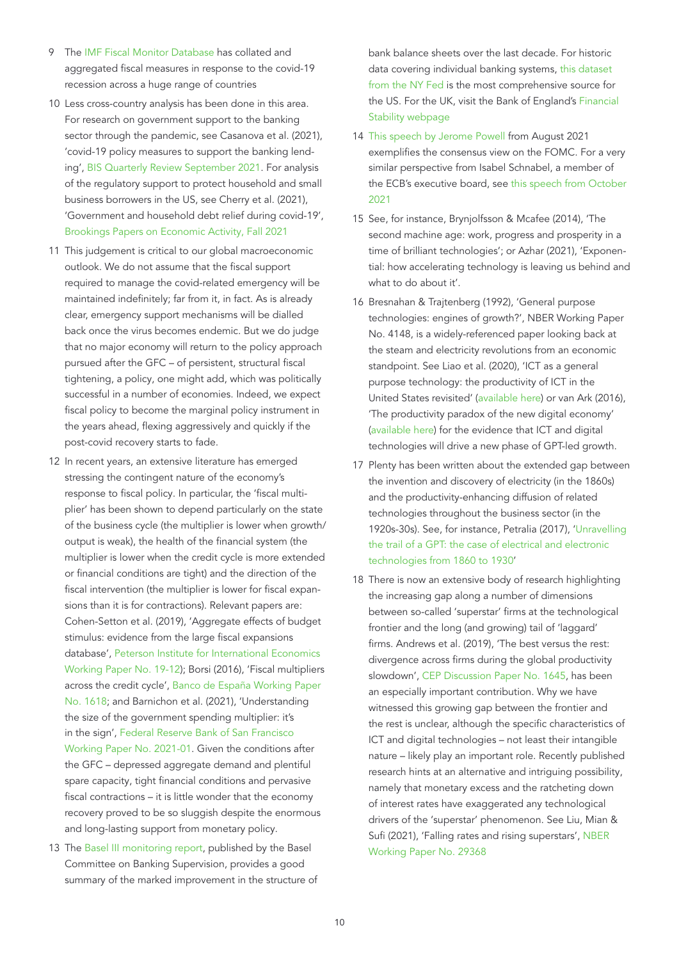- 9 The [IMF Fiscal Monitor Database](http://www.imf.org/en/Topics/imf-and-covid19/Fiscal-Policies-Database-in-Response-to-covid-19) has collated and aggregated fiscal measures in response to the covid-19 recession across a huge range of countries
- 10 Less cross-country analysis has been done in this area. For research on government support to the banking sector through the pandemic, see Casanova et al. (2021), 'covid-19 policy measures to support the banking lending', [BIS Quarterly Review September 2021.](https://www.bis.org/publ/qtrpdf/r_qt2109d.htm) For analysis of the regulatory support to protect household and small business borrowers in the US, see Cherry et al. (2021), 'Government and household debt relief during covid-19', [Brookings Papers on Economic Activity, Fall 2021](https://www.brookings.edu/wp-content/uploads/2021/09/Government-and-Private-Household-Debt-Relief-_Conf-Draft2.pdf)
- 11 This judgement is critical to our global macroeconomic outlook. We do not assume that the fiscal support required to manage the covid-related emergency will be maintained indefinitely; far from it, in fact. As is already clear, emergency support mechanisms will be dialled back once the virus becomes endemic. But we do judge that no major economy will return to the policy approach pursued after the GFC – of persistent, structural fiscal tightening, a policy, one might add, which was politically successful in a number of economies. Indeed, we expect fiscal policy to become the marginal policy instrument in the years ahead, flexing aggressively and quickly if the post-covid recovery starts to fade.
- 12 In recent years, an extensive literature has emerged stressing the contingent nature of the economy's response to fiscal policy. In particular, the 'fiscal multiplier' has been shown to depend particularly on the state of the business cycle (the multiplier is lower when growth/ output is weak), the health of the financial system (the multiplier is lower when the credit cycle is more extended or financial conditions are tight) and the direction of the fiscal intervention (the multiplier is lower for fiscal expansions than it is for contractions). Relevant papers are: Cohen-Setton et al. (2019), 'Aggregate effects of budget stimulus: evidence from the large fiscal expansions database', [Peterson Institute for International Economics](https://www.piie.com/publications/working-papers/aggregate-effects-budget-stimulus-evidence-large-fiscal-expansions)  [Working Paper No. 19-12](https://www.piie.com/publications/working-papers/aggregate-effects-budget-stimulus-evidence-large-fiscal-expansions)); Borsi (2016), 'Fiscal multipliers across the credit cycle', [Banco de España Working Paper](https://www.bde.es/f/webbde/SES/Secciones/Publicaciones/PublicacionesSeriadas/DocumentosTrabajo/16/Fich/dt1618e.pdf)  [No. 1618;](https://www.bde.es/f/webbde/SES/Secciones/Publicaciones/PublicacionesSeriadas/DocumentosTrabajo/16/Fich/dt1618e.pdf) and Barnichon et al. (2021), 'Understanding the size of the government spending multiplier: it's in the sign', [Federal Reserve Bank of San Francisco](https://www.frbsf.org/economic-research/publications/working-papers/2021/01/)  [Working Paper No. 2021-01.](https://www.frbsf.org/economic-research/publications/working-papers/2021/01/) Given the conditions after the GFC – depressed aggregate demand and plentiful spare capacity, tight financial conditions and pervasive fiscal contractions – it is little wonder that the economy recovery proved to be so sluggish despite the enormous and long-lasting support from monetary policy.
- 13 The [Basel III monitoring report,](https://www.bis.org/bcbs/publ/d524.htm) published by the Basel Committee on Banking Supervision, provides a good summary of the marked improvement in the structure of

bank balance sheets over the last decade. For historic data covering individual banking systems, [this dataset](https://www.newyorkfed.org/research/banking_research/quarterly_trends)  [from the NY Fed](https://www.newyorkfed.org/research/banking_research/quarterly_trends) is the most comprehensive source for the US. For the UK, visit the Bank of England's [Financial](http://www.bankofengland.co.uk/financial-stability)  [Stability webpage](http://www.bankofengland.co.uk/financial-stability)

- 14 [This speech by Jerome Powell](http://www.federalreserve.gov/newsevents/speech/powell20210827a.htm) from August 2021 exemplifies the consensus view on the FOMC. For a very similar perspective from Isabel Schnabel, a member of the ECB's executive board, see [this speech from October](http://www.ecb.europa.eu/press/key/date/2021/html/ecb.sp211007~ab617e7d60.en.html)  [2021](http://www.ecb.europa.eu/press/key/date/2021/html/ecb.sp211007~ab617e7d60.en.html)
- 15 See, for instance, Brynjolfsson & Mcafee (2014), 'The second machine age: work, progress and prosperity in a time of brilliant technologies'; or Azhar (2021), 'Exponential: how accelerating technology is leaving us behind and what to do about it'.
- 16 Bresnahan & Trajtenberg (1992), 'General purpose technologies: engines of growth?', NBER Working Paper No. 4148, is a widely-referenced paper looking back at the steam and electricity revolutions from an economic standpoint. See Liao et al. (2020), 'ICT as a general purpose technology: the productivity of ICT in the United States revisited' [\(available here](https://repository.lboro.ac.uk/articles/journal_contribution/ICT_as_a_general-purpose_technology_The_productivity_of_ICT_in_the_United_States_revisited/9503273)) or van Ark (2016), 'The productivity paradox of the new digital economy' [\(available here](http://www.csls.ca/ipm/31/vanark.pdf)) for the evidence that ICT and digital technologies will drive a new phase of GPT-led growth.
- 17 Plenty has been written about the extended gap between the invention and discovery of electricity (in the 1860s) and the productivity-enhancing diffusion of related technologies throughout the business sector (in the 1920s-30s). See, for instance, Petralia (2017), '[Unravelling](https://www.regionalstudies.org/wp-content/uploads/2018/07/Petralia_Draft.pdf)  [the trail of a GPT: the case of electrical and electronic](https://www.regionalstudies.org/wp-content/uploads/2018/07/Petralia_Draft.pdf)  [technologies from 1860 to 1930](https://www.regionalstudies.org/wp-content/uploads/2018/07/Petralia_Draft.pdf)'
- 18 There is now an extensive body of research highlighting the increasing gap along a number of dimensions between so-called 'superstar' firms at the technological frontier and the long (and growing) tail of 'laggard' firms. Andrews et al. (2019), 'The best versus the rest: divergence across firms during the global productivity slowdown', [CEP Discussion Paper No. 1645](https://cep.lse.ac.uk/pubs/download/dp1645.pdf), has been an especially important contribution. Why we have witnessed this growing gap between the frontier and the rest is unclear, although the specific characteristics of ICT and digital technologies – not least their intangible nature – likely play an important role. Recently published research hints at an alternative and intriguing possibility, namely that monetary excess and the ratcheting down of interest rates have exaggerated any technological drivers of the 'superstar' phenomenon. See Liu, Mian & Sufi (2021), 'Falling rates and rising superstars', [NBER](https://scholar.princeton.edu/sites/default/files/atif/files/klms_assetpricing_2021_oct4_0.pdf)  [Working Paper No. 29368](https://scholar.princeton.edu/sites/default/files/atif/files/klms_assetpricing_2021_oct4_0.pdf)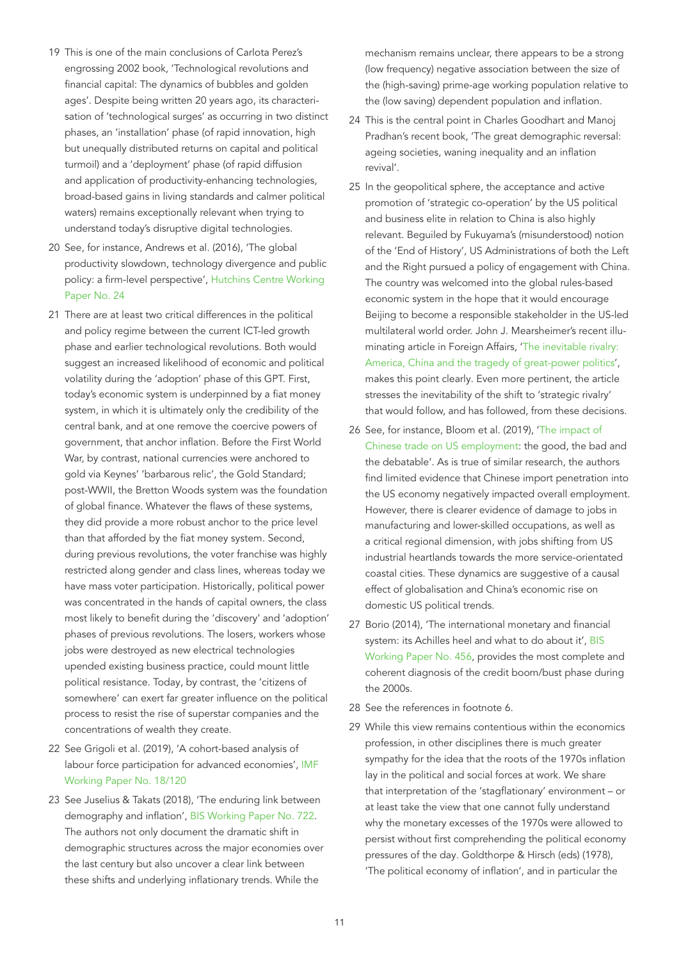- 19 This is one of the main conclusions of Carlota Perez's engrossing 2002 book, 'Technological revolutions and financial capital: The dynamics of bubbles and golden ages'. Despite being written 20 years ago, its characterisation of 'technological surges' as occurring in two distinct phases, an 'installation' phase (of rapid innovation, high but unequally distributed returns on capital and political turmoil) and a 'deployment' phase (of rapid diffusion and application of productivity-enhancing technologies, broad-based gains in living standards and calmer political waters) remains exceptionally relevant when trying to understand today's disruptive digital technologies.
- 20 See, for instance, Andrews et al. (2016), 'The global productivity slowdown, technology divergence and public policy: a firm-level perspective', [Hutchins Centre Working](https://www.brookings.edu/wp-content/uploads/2016/09/wp24_andrews-et-al_final.pdf)  [Paper No. 24](https://www.brookings.edu/wp-content/uploads/2016/09/wp24_andrews-et-al_final.pdf)
- 21 There are at least two critical differences in the political and policy regime between the current ICT-led growth phase and earlier technological revolutions. Both would suggest an increased likelihood of economic and political volatility during the 'adoption' phase of this GPT. First, today's economic system is underpinned by a fiat money system, in which it is ultimately only the credibility of the central bank, and at one remove the coercive powers of government, that anchor inflation. Before the First World War, by contrast, national currencies were anchored to gold via Keynes' 'barbarous relic', the Gold Standard; post-WWII, the Bretton Woods system was the foundation of global finance. Whatever the flaws of these systems, they did provide a more robust anchor to the price level than that afforded by the fiat money system. Second, during previous revolutions, the voter franchise was highly restricted along gender and class lines, whereas today we have mass voter participation. Historically, political power was concentrated in the hands of capital owners, the class most likely to benefit during the 'discovery' and 'adoption' phases of previous revolutions. The losers, workers whose jobs were destroyed as new electrical technologies upended existing business practice, could mount little political resistance. Today, by contrast, the 'citizens of somewhere' can exert far greater influence on the political process to resist the rise of superstar companies and the concentrations of wealth they create.
- 22 See Grigoli et al. (2019), 'A cohort-based analysis of labour force participation for advanced economies', [IMF](https://www.imf.org/-/media/Files/Publications/WP/2018/wp18120.ashx)  [Working Paper No. 18/120](https://www.imf.org/-/media/Files/Publications/WP/2018/wp18120.ashx)
- 23 See Juselius & Takats (2018), 'The enduring link between demography and inflation', [BIS Working Paper No. 722](https://www.bis.org/publ/work722.pdf). The authors not only document the dramatic shift in demographic structures across the major economies over the last century but also uncover a clear link between these shifts and underlying inflationary trends. While the

mechanism remains unclear, there appears to be a strong (low frequency) negative association between the size of the (high-saving) prime-age working population relative to the (low saving) dependent population and inflation.

- 24 This is the central point in Charles Goodhart and Manoj Pradhan's recent book, 'The great demographic reversal: ageing societies, waning inequality and an inflation revival'.
- 25 In the geopolitical sphere, the acceptance and active promotion of 'strategic co-operation' by the US political and business elite in relation to China is also highly relevant. Beguiled by Fukuyama's (misunderstood) notion of the 'End of History', US Administrations of both the Left and the Right pursued a policy of engagement with China. The country was welcomed into the global rules-based economic system in the hope that it would encourage Beijing to become a responsible stakeholder in the US-led multilateral world order. John J. Mearsheimer's recent illuminating article in Foreign Affairs, ['The inevitable rivalry:](https://www.foreignaffairs.com/articles/china/2021-10-19/inevitable-rivalry-cold-war)  [America, China and the tragedy of great-power politics](https://www.foreignaffairs.com/articles/china/2021-10-19/inevitable-rivalry-cold-war)', makes this point clearly. Even more pertinent, the article stresses the inevitability of the shift to 'strategic rivalry' that would follow, and has followed, from these decisions.
- 26 See, for instance, Bloom et al. (2019), ['The impact of](https://nbloom.people.stanford.edu/sites/g/files/sbiybj4746/f/bhkl_posted_draft.pdf)  [Chinese trade on US employment:](https://nbloom.people.stanford.edu/sites/g/files/sbiybj4746/f/bhkl_posted_draft.pdf) the good, the bad and the debatable'. As is true of similar research, the authors find limited evidence that Chinese import penetration into the US economy negatively impacted overall employment. However, there is clearer evidence of damage to jobs in manufacturing and lower-skilled occupations, as well as a critical regional dimension, with jobs shifting from US industrial heartlands towards the more service-orientated coastal cities. These dynamics are suggestive of a causal effect of globalisation and China's economic rise on domestic US political trends.
- 27 Borio (2014), 'The international monetary and financial system: its Achilles heel and what to do about it', [BIS](https://www.bis.org/publ/work456.htm)  [Working Paper No. 456,](https://www.bis.org/publ/work456.htm) provides the most complete and coherent diagnosis of the credit boom/bust phase during the 2000s.
- 28 See the references in footnote 6.
- 29 While this view remains contentious within the economics profession, in other disciplines there is much greater sympathy for the idea that the roots of the 1970s inflation lay in the political and social forces at work. We share that interpretation of the 'stagflationary' environment – or at least take the view that one cannot fully understand why the monetary excesses of the 1970s were allowed to persist without first comprehending the political economy pressures of the day. Goldthorpe & Hirsch (eds) (1978), 'The political economy of inflation', and in particular the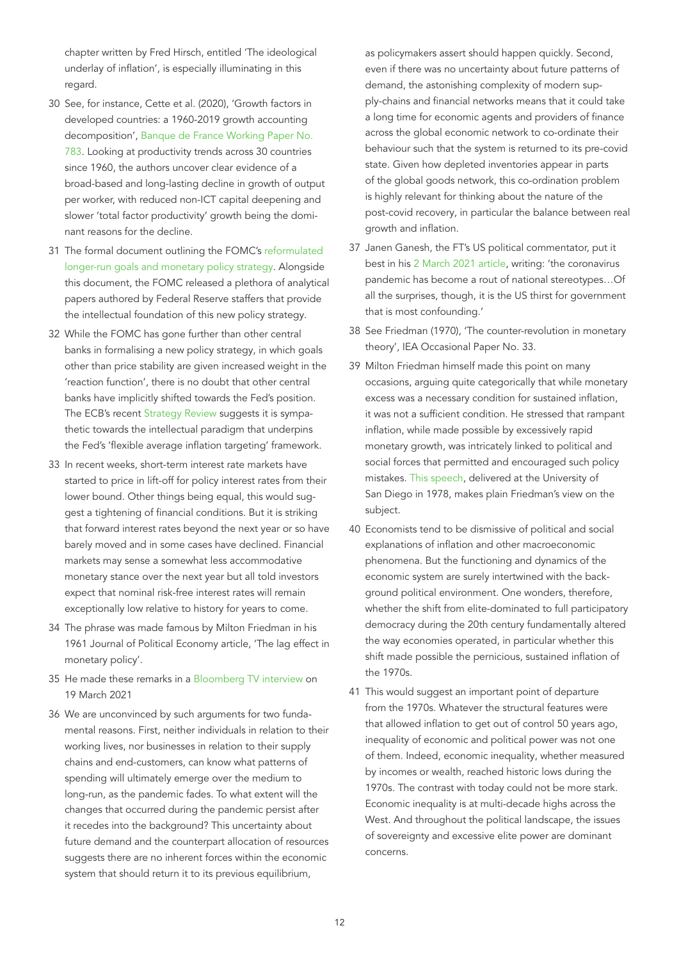chapter written by Fred Hirsch, entitled 'The ideological underlay of inflation', is especially illuminating in this regard.

- 30 See, for instance, Cette et al. (2020), 'Growth factors in developed countries: a 1960-2019 growth accounting decomposition', [Banque de France Working Paper No.](https://www.banque-france.fr/sites/default/files/medias/documents/wp783_0.pdf)  [783.](https://www.banque-france.fr/sites/default/files/medias/documents/wp783_0.pdf) Looking at productivity trends across 30 countries since 1960, the authors uncover clear evidence of a broad-based and long-lasting decline in growth of output per worker, with reduced non-ICT capital deepening and slower 'total factor productivity' growth being the dominant reasons for the decline.
- 31 The formal document outlining the FOMC's [reformulated](https://www.federalreserve.gov/monetarypolicy/review-of-monetary-policy-strategy-tools-and-communications-statement-on-longer-run-goals-monetary-policy-strategy.htm)  [longer-run goals and monetary policy strategy](https://www.federalreserve.gov/monetarypolicy/review-of-monetary-policy-strategy-tools-and-communications-statement-on-longer-run-goals-monetary-policy-strategy.htm). Alongside this document, the FOMC released a plethora of analytical papers authored by Federal Reserve staffers that provide the intellectual foundation of this new policy strategy.
- 32 While the FOMC has gone further than other central banks in formalising a new policy strategy, in which goals other than price stability are given increased weight in the 'reaction function', there is no doubt that other central banks have implicitly shifted towards the Fed's position. The ECB's recent [Strategy Review](https://www.ecb.europa.eu/home/search/review/html/index.en.html) suggests it is sympathetic towards the intellectual paradigm that underpins the Fed's 'flexible average inflation targeting' framework.
- 33 In recent weeks, short-term interest rate markets have started to price in lift-off for policy interest rates from their lower bound. Other things being equal, this would suggest a tightening of financial conditions. But it is striking that forward interest rates beyond the next year or so have barely moved and in some cases have declined. Financial markets may sense a somewhat less accommodative monetary stance over the next year but all told investors expect that nominal risk-free interest rates will remain exceptionally low relative to history for years to come.
- 34 The phrase was made famous by Milton Friedman in his 1961 Journal of Political Economy article, 'The lag effect in monetary policy'.
- 35 He made these remarks in a [Bloomberg TV interview](https://www.bloomberg.com/news/videos/2021-03-19/seeing-the-least-responsible-macroeconomic-policy-in-40-years-summers-video) on 19 March 2021
- 36 We are unconvinced by such arguments for two fundamental reasons. First, neither individuals in relation to their working lives, nor businesses in relation to their supply chains and end-customers, can know what patterns of spending will ultimately emerge over the medium to long-run, as the pandemic fades. To what extent will the changes that occurred during the pandemic persist after it recedes into the background? This uncertainty about future demand and the counterpart allocation of resources suggests there are no inherent forces within the economic system that should return it to its previous equilibrium,

as policymakers assert should happen quickly. Second, even if there was no uncertainty about future patterns of demand, the astonishing complexity of modern supply-chains and financial networks means that it could take a long time for economic agents and providers of finance across the global economic network to co-ordinate their behaviour such that the system is returned to its pre-covid state. Given how depleted inventories appear in parts of the global goods network, this co-ordination problem is highly relevant for thinking about the nature of the post-covid recovery, in particular the balance between real growth and inflation.

- 37 Janen Ganesh, the FT's US political commentator, put it best in his [2 March 2021 article,](https://www.ft.com/content/ffb8988f-ac8c-49e6-8e2a-c8f75294d07b) writing: 'the coronavirus pandemic has become a rout of national stereotypes…Of all the surprises, though, it is the US thirst for government that is most confounding.'
- 38 See Friedman (1970), 'The counter-revolution in monetary theory', IEA Occasional Paper No. 33.
- 39 Milton Friedman himself made this point on many occasions, arguing quite categorically that while monetary excess was a necessary condition for sustained inflation, it was not a sufficient condition. He stressed that rampant inflation, while made possible by excessively rapid monetary growth, was intricately linked to political and social forces that permitted and encouraged such policy mistakes. [This speech](https://www.freetochoosenetwork.org/ideachannel/ic_program.php?itemId=110), delivered at the University of San Diego in 1978, makes plain Friedman's view on the subject.
- 40 Economists tend to be dismissive of political and social explanations of inflation and other macroeconomic phenomena. But the functioning and dynamics of the economic system are surely intertwined with the background political environment. One wonders, therefore, whether the shift from elite-dominated to full participatory democracy during the 20th century fundamentally altered the way economies operated, in particular whether this shift made possible the pernicious, sustained inflation of the 1970s.
- 41 This would suggest an important point of departure from the 1970s. Whatever the structural features were that allowed inflation to get out of control 50 years ago, inequality of economic and political power was not one of them. Indeed, economic inequality, whether measured by incomes or wealth, reached historic lows during the 1970s. The contrast with today could not be more stark. Economic inequality is at multi-decade highs across the West. And throughout the political landscape, the issues of sovereignty and excessive elite power are dominant concerns.